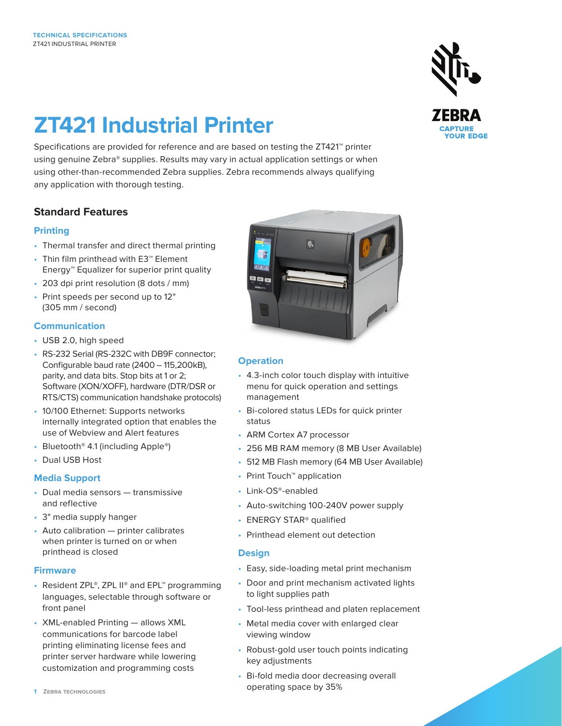# **ZT421 Industrial Printer**

Specifications are provided for reference and are based on testing the ZT421™ printer using genuine Zebra® supplies. Results may vary in actual application settings or when using other-than-recommended Zebra supplies. Zebra recommends always qualifying any application with thorough testing.

# **Standard Features**

## **Printing**

- Thermal transfer and direct thermal printing
- Thin film printhead with E3™ Element Energy™ Equalizer for superior print quality
- 203 dpi print resolution (8 dots / mm)
- Print speeds per second up to 12" (305 mm / second)

## **Communication**

- USB 2.0, high speed
- RS-232 Serial (RS-232C with DB9F connector; Configurable baud rate (2400 – 115,200kB), parity, and data bits. Stop bits at 1 or 2; Software (XON/XOFF), hardware (DTR/DSR or RTS/CTS) communication handshake protocols)
- 10/100 Ethernet: Supports networks internally integrated option that enables the use of Webview and Alert features
- Bluetooth® 4.1 (including Apple®)
- Dual USB Host

## **Media Support**

- Dual media sensors transmissive and reflective
- 3" media supply hanger
- Auto calibration printer calibrates when printer is turned on or when printhead is closed

#### **Firmware**

- Resident ZPL®, ZPL II® and EPL™ programming languages, selectable through software or front panel
- XML-enabled Printing allows XML communications for barcode label printing eliminating license fees and printer server hardware while lowering customization and programming costs



## **Operation**

- 4.3-inch color touch display with intuitive menu for quick operation and settings management
- Bi-colored status LEDs for quick printer status
- ARM Cortex A7 processor
- 256 MB RAM memory (8 MB User Available)
- 512 MB Flash memory (64 MB User Available)
- Print Touch™ application
- Link-OS®-enabled
- Auto-switching 100-240V power supply
- ENERGY STAR® qualified
- Printhead element out detection

#### **Design**

- Easy, side-loading metal print mechanism
- Door and print mechanism activated lights to light supplies path
- Tool-less printhead and platen replacement
- Metal media cover with enlarged clear viewing window
- Robust-gold user touch points indicating key adjustments
- Bi-fold media door decreasing overall operating space by 35%

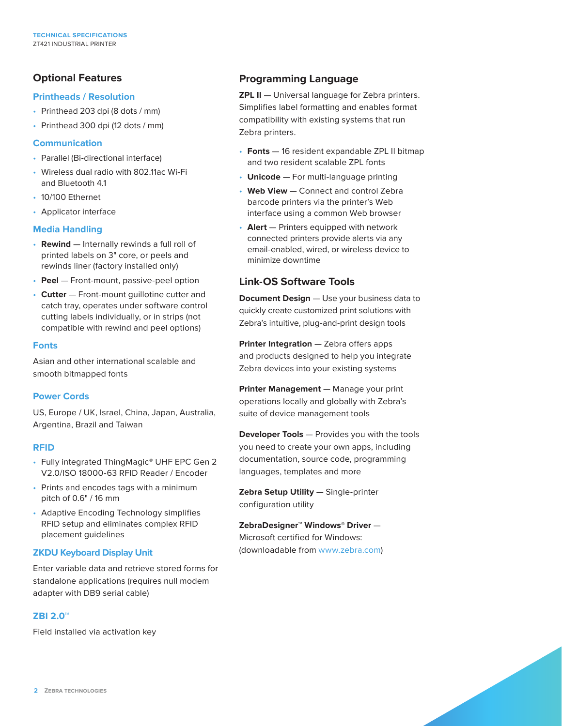# **Optional Features**

#### **Printheads / Resolution**

- Printhead 203 dpi (8 dots / mm)
- Printhead 300 dpi (12 dots / mm)

#### **Communication**

- Parallel (Bi-directional interface)
- Wireless dual radio with 802.11ac Wi-Fi and Bluetooth 4.1
- 10/100 Ethernet
- Applicator interface

#### **Media Handling**

- **Rewind** Internally rewinds a full roll of printed labels on 3" core, or peels and rewinds liner (factory installed only)
- **Peel** Front-mount, passive-peel option
- **Cutter** Front-mount guillotine cutter and catch tray, operates under software control cutting labels individually, or in strips (not compatible with rewind and peel options)

#### **Fonts**

Asian and other international scalable and smooth bitmapped fonts

#### **Power Cords**

US, Europe / UK, Israel, China, Japan, Australia, Argentina, Brazil and Taiwan

#### **RFID**

- Fully integrated ThingMagic® UHF EPC Gen 2 V2.0/ISO 18000-63 RFID Reader / Encoder
- Prints and encodes tags with a minimum pitch of 0.6" / 16 mm
- Adaptive Encoding Technology simplifies RFID setup and eliminates complex RFID placement guidelines

#### **ZKDU Keyboard Display Unit**

Enter variable data and retrieve stored forms for standalone applications (requires null modem adapter with DB9 serial cable)

#### **ZBI 2.0™**

Field installed via activation key

# **Programming Language**

**ZPL II** - Universal language for Zebra printers. Simplifies label formatting and enables format compatibility with existing systems that run Zebra printers.

- **Fonts** 16 resident expandable ZPL II bitmap and two resident scalable ZPL fonts
- **Unicode** For multi-language printing
- **Web View** Connect and control Zebra barcode printers via the printer's Web interface using a common Web browser
- **Alert** Printers equipped with network connected printers provide alerts via any email-enabled, wired, or wireless device to minimize downtime

## **Link-OS Software Tools**

**Document Design** - Use your business data to quickly create customized print solutions with Zebra's intuitive, plug-and-print design tools

**Printer Integration** — Zebra offers apps and products designed to help you integrate Zebra devices into your existing systems

**Printer Management** — Manage your print operations locally and globally with Zebra's suite of device management tools

**Developer Tools** — Provides you with the tools you need to create your own apps, including documentation, source code, programming languages, templates and more

**Zebra Setup Utility** — Single-printer configuration utility

**ZebraDesigner™ Windows**® **Driver** — Microsoft certified for Windows: (downloadable from www.zebra.com)

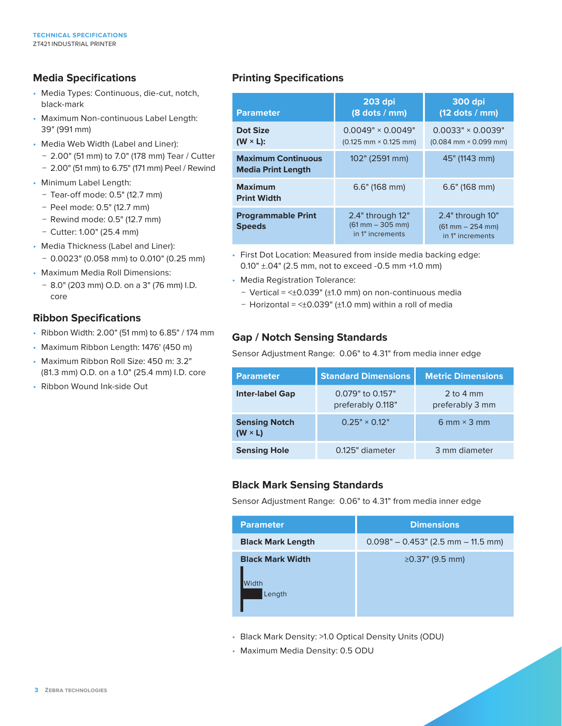# **Media Specifications**

- Media Types: Continuous, die-cut, notch, black-mark
- Maximum Non-continuous Label Length: 39" (991 mm)
- Media Web Width (Label and Liner):
	- − 2.00" (51 mm) to 7.0" (178 mm) Tear / Cutter
	- − 2.00" (51 mm) to 6.75" (171 mm) Peel / Rewind
- Minimum Label Length:
	- − Tear-off mode: 0.5" (12.7 mm)
	- − Peel mode: 0.5" (12.7 mm)
	- − Rewind mode: 0.5" (12.7 mm)
	- − Cutter: 1.00" (25.4 mm)
- Media Thickness (Label and Liner): − 0.0023" (0.058 mm) to 0.010" (0.25 mm)
- Maximum Media Roll Dimensions:
	- − 8.0" (203 mm) O.D. on a 3" (76 mm) I.D. core

## **Ribbon Specifications**

- Ribbon Width: 2.00" (51 mm) to 6.85" / 174 mm
- Maximum Ribbon Length: 1476' (450 m)
- Maximum Ribbon Roll Size: 450 m: 3.2" (81.3 mm) O.D. on a 1.0" (25.4 mm) I.D. core
- Ribbon Wound Ink-side Out

# **Printing Specifications**

| <b>Parameter</b>                                       | $203$ dpi<br>$(8$ dots / mm)                                 | <b>300 dpi</b><br>$(12$ dots / mm)                                         |
|--------------------------------------------------------|--------------------------------------------------------------|----------------------------------------------------------------------------|
| Dot Size<br>$(W \times L)$ :                           | $0.0049" \times 0.0049"$<br>$(0.125$ mm $\times$ 0.125 mm)   | $0.0033" \times 0.0039"$<br>$(0.084 \text{ mm} \times 0.099 \text{ mm})$   |
| <b>Maximum Continuous</b><br><b>Media Print Length</b> | 102" (2591 mm)                                               | 45" (1143 mm)                                                              |
| <b>Maximum</b><br><b>Print Width</b>                   | $6.6"$ (168 mm)                                              | $6.6"$ (168 mm)                                                            |
| <b>Programmable Print</b><br><b>Speeds</b>             | 2.4" through 12"<br>$(61$ mm $- 305$ mm)<br>in 1" increments | 2.4" through 10"<br>$(61 \text{ mm} - 254 \text{ mm})$<br>in 1" increments |

- First Dot Location: Measured from inside media backing edge: 0.10" ±.04" (2.5 mm, not to exceed -0.5 mm +1.0 mm)
- Media Registration Tolerance:
	- − Vertical = <±0.039" (±1.0 mm) on non-continuous media
	- − Horizontal = <±0.039" (±1.0 mm) within a roll of media

# **Gap / Notch Sensing Standards**

Sensor Adjustment Range: 0.06" to 4.31" from media inner edge

| <b>Parameter</b>                       | <b>Standard Dimensions</b>            | <b>Metric Dimensions</b>       |
|----------------------------------------|---------------------------------------|--------------------------------|
| <b>Inter-label Gap</b>                 | 0.079" to 0.157"<br>preferably 0.118" | 2 to 4 $mm$<br>preferably 3 mm |
| <b>Sensing Notch</b><br>$(W \times L)$ | $0.25" \times 0.12"$                  | 6 mm $\times$ 3 mm             |
| <b>Sensing Hole</b>                    | 0.125" diameter                       | 3 mm diameter                  |

# **Black Mark Sensing Standards**

Sensor Adjustment Range: 0.06" to 4.31" from media inner edge

| <b>Parameter</b>                           | <b>Dimensions</b>                    |
|--------------------------------------------|--------------------------------------|
| <b>Black Mark Length</b>                   | $0.098" - 0.453"$ (2.5 mm – 11.5 mm) |
| <b>Black Mark Width</b><br>Nidth<br>Length | ≥0.37" (9.5 mm)                      |

- Black Mark Density: >1.0 Optical Density Units (ODU)
- Maximum Media Density: 0.5 ODU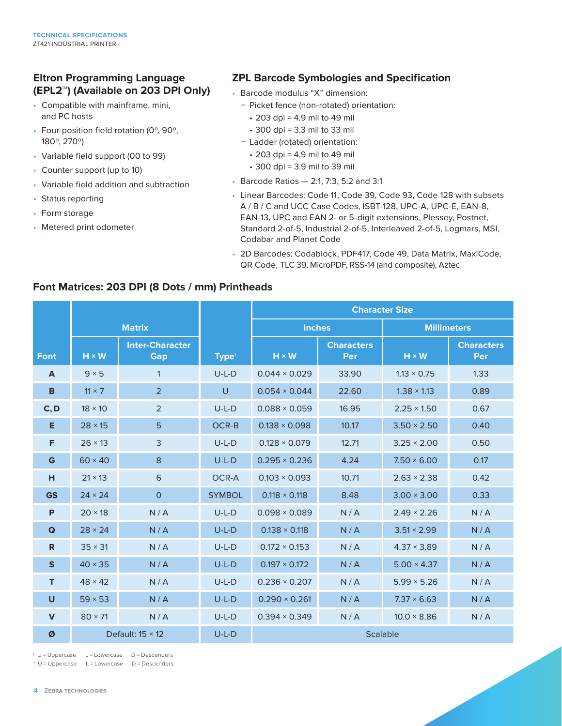# **Eltron Programming Language (EPL2™) (Available on 203 DPI Only)**

- Compatible with mainframe, mini, and PC hosts
- Four-position field rotation (0º, 90º, 180º, 270º)
- Variable field support (00 to 99)
- Counter support (up to 10)
- Variable field addition and subtraction
- Status reporting
- Form storage
- Metered print odometer

## **ZPL Barcode Symbologies and Specification**

- Barcode modulus "X" dimension:
	- − Picket fence (non-rotated) orientation:
		- 203 dpi = 4.9 mil to 49 mil
		- 300 dpi = 3.3 mil to 33 mil
	- − Ladder (rotated) orientation:
		- 203 dpi = 4.9 mil to 49 mil
		- 300 dpi = 3.9 mil to 39 mil
- Barcode Ratios 2:1, 7:3, 5:2 and 3:1
- Linear Barcodes: Code 11, Code 39, Code 93, Code 128 with subsets A / B / C and UCC Case Codes, ISBT-128, UPC-A, UPC-E, EAN-8, EAN-13, UPC and EAN 2- or 5-digit extensions, Plessey, Postnet, Standard 2-of-5, Industrial 2-of-5, Interleaved 2-of-5, Logmars, MSI, Codabar and Planet Code
- 2D Barcodes: Codablock, PDF417, Code 49, Data Matrix, MaxiCode, QR Code, TLC 39, MicroPDF, RSS-14 (and composite), Aztec

## **Font Matrices: 203 DPI (8 Dots / mm) Printheads**

|              |                         |                                      |                   | <b>Character Size</b> |                          |                    |                          |
|--------------|-------------------------|--------------------------------------|-------------------|-----------------------|--------------------------|--------------------|--------------------------|
|              | <b>Matrix</b>           |                                      |                   | <b>Inches</b>         |                          | <b>Millimeters</b> |                          |
| <b>Font</b>  | $H \times W$            | <b>Inter-Character</b><br><b>Gap</b> | Type <sup>+</sup> | $H \times W$          | <b>Characters</b><br>Per | $H \times W$       | <b>Characters</b><br>Per |
| A            | $9 \times 5$            | $\mathbf{1}$                         | $U-L-D$           | $0.044 \times 0.029$  | 33.90                    | $1.13 \times 0.75$ | 1.33                     |
| B            | $11 \times 7$           | $\overline{2}$                       | $\cup$            | $0.054 \times 0.044$  | 22.60                    | $1.38 \times 1.13$ | 0.89                     |
| C, D         | $18 \times 10$          | 2                                    | $U-L-D$           | $0.088 \times 0.059$  | 16.95                    | $2.25 \times 1.50$ | 0.67                     |
| E            | $28 \times 15$          | 5                                    | OCR-B             | $0.138 \times 0.098$  | 10.17                    | $3.50 \times 2.50$ | 0.40                     |
| F            | $26 \times 13$          | 3                                    | $U-L-D$           | $0.128 \times 0.079$  | 12.71                    | $3.25 \times 2.00$ | 0.50                     |
| G            | $60 \times 40$          | 8                                    | $U-L-D$           | $0.295 \times 0.236$  | 4.24                     | $7.50 \times 6.00$ | 0.17                     |
| H            | $21 \times 13$          | 6                                    | OCR-A             | $0.103 \times 0.093$  | 10.71                    | $2.63 \times 2.38$ | 0.42                     |
| <b>GS</b>    | $24 \times 24$          | $\circ$                              | <b>SYMBOL</b>     | $0.118 \times 0.118$  | 8.48                     | $3.00 \times 3.00$ | 0.33                     |
| P            | $20 \times 18$          | N/A                                  | $U-L-D$           | $0.098 \times 0.089$  | N/A                      | $2.49 \times 2.26$ | N/A                      |
| Q            | $28 \times 24$          | N/A                                  | $U-L-D$           | $0.138 \times 0.118$  | N/A                      | $3.51 \times 2.99$ | N/A                      |
| $\mathsf{R}$ | $35 \times 31$          | N/A                                  | $U-L-D$           | $0.172 \times 0.153$  | N/A                      | $4.37 \times 3.89$ | N/A                      |
| $\mathsf{s}$ | $40 \times 35$          | N/A                                  | $U-L-D$           | $0.197 \times 0.172$  | N/A                      | $5.00 \times 4.37$ | N/A                      |
| T            | $48 \times 42$          | N/A                                  | $U-L-D$           | $0.236 \times 0.207$  | N/A                      | $5.99 \times 5.26$ | N/A                      |
| U            | $59 \times 53$          | N/A                                  | $U-L-D$           | $0.290 \times 0.261$  | N/A                      | $7.37 \times 6.63$ | N/A                      |
| $\mathbf{V}$ | $80 \times 71$          | N/A                                  | $U-L-D$           | $0.394 \times 0.349$  | N/A                      | $10.0 \times 8.86$ | N/A                      |
| Ø            | Default: $15 \times 12$ |                                      | $U-L-D$           | <b>Scalable</b>       |                          |                    |                          |

† U = Uppercase L = Lowercase D = Descenders

† U = Uppercase L = Lowercase D = Descenders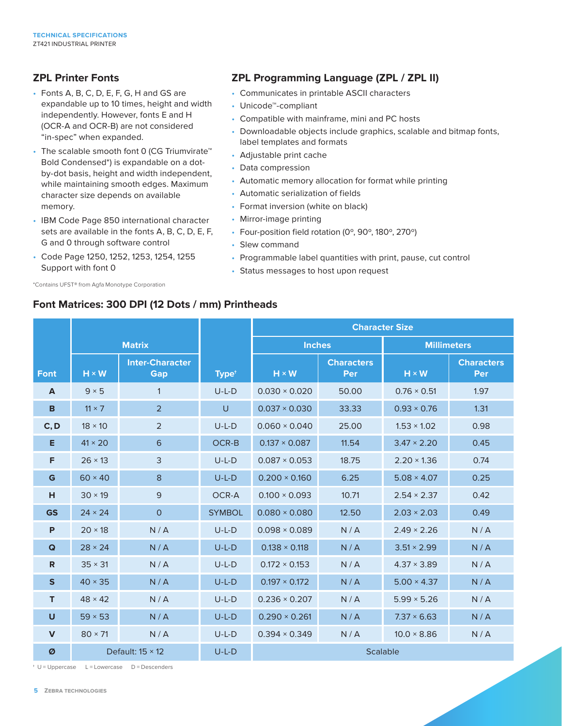# **ZPL Printer Fonts**

- Fonts A, B, C, D, E, F, G, H and GS are expandable up to 10 times, height and width independently. However, fonts E and H (OCR-A and OCR-B) are not considered "in-spec" when expanded.
- The scalable smooth font 0 (CG Triumvirate™ Bold Condensed\*) is expandable on a dotby-dot basis, height and width independent, while maintaining smooth edges. Maximum character size depends on available memory.
- IBM Code Page 850 international character sets are available in the fonts A, B, C, D, E, F, G and 0 through software control
- Code Page 1250, 1252, 1253, 1254, 1255 Support with font 0

\*Contains UFST® from Agfa Monotype Corporation

# **ZPL Programming Language (ZPL / ZPL II)**

- Communicates in printable ASCII characters
- Unicode™-compliant
- Compatible with mainframe, mini and PC hosts
- Downloadable objects include graphics, scalable and bitmap fonts, label templates and formats
- Adjustable print cache
- Data compression
- Automatic memory allocation for format while printing
- Automatic serialization of fields
- Format inversion (white on black)
- Mirror-image printing
- Four-position field rotation (0º, 90º, 180º, 270º)
- Slew command
- Programmable label quantities with print, pause, cut control
- Status messages to host upon request

## **Font Matrices: 300 DPI (12 Dots / mm) Printheads**

|              |                         |                               |                   | <b>Character Size</b> |                                 |                    |                                 |
|--------------|-------------------------|-------------------------------|-------------------|-----------------------|---------------------------------|--------------------|---------------------------------|
|              | <b>Matrix</b>           |                               |                   | <b>Inches</b>         |                                 | <b>Millimeters</b> |                                 |
| <b>Font</b>  | $H \times W$            | <b>Inter-Character</b><br>Gap | Type <sup>+</sup> | $H \times W$          | <b>Characters</b><br><b>Per</b> | $H \times W$       | <b>Characters</b><br><b>Per</b> |
| A            | $9 \times 5$            | $\mathbf{1}$                  | $U-L-D$           | $0.030 \times 0.020$  | 50.00                           | $0.76 \times 0.51$ | 1.97                            |
| B            | $11 \times 7$           | $\overline{2}$                | U                 | $0.037 \times 0.030$  | 33.33                           | $0.93 \times 0.76$ | 1.31                            |
| C, D         | $18 \times 10$          | 2                             | $U-L-D$           | $0.060 \times 0.040$  | 25.00                           | $1.53 \times 1.02$ | 0.98                            |
| Е            | $41 \times 20$          | 6                             | OCR-B             | $0.137 \times 0.087$  | 11.54                           | $3.47 \times 2.20$ | 0.45                            |
| F            | $26 \times 13$          | 3                             | $U-L-D$           | $0.087 \times 0.053$  | 18.75                           | $2.20 \times 1.36$ | 0.74                            |
| G            | $60 \times 40$          | 8                             | $U-L-D$           | $0.200 \times 0.160$  | 6.25                            | $5.08 \times 4.07$ | 0.25                            |
| н            | $30 \times 19$          | 9                             | OCR-A             | $0.100 \times 0.093$  | 10.71                           | $2.54 \times 2.37$ | 0.42                            |
| <b>GS</b>    | $24 \times 24$          | $\overline{O}$                | <b>SYMBOL</b>     | $0.080 \times 0.080$  | 12.50                           | $2.03 \times 2.03$ | 0.49                            |
| P            | $20 \times 18$          | N/A                           | $U-L-D$           | $0.098 \times 0.089$  | N/A                             | $2.49 \times 2.26$ | N/A                             |
| Q            | $28 \times 24$          | N/A                           | $U-L-D$           | $0.138 \times 0.118$  | N/A                             | $3.51 \times 2.99$ | N/A                             |
| R            | $35 \times 31$          | N/A                           | $U-L-D$           | $0.172 \times 0.153$  | N/A                             | $4.37 \times 3.89$ | N/A                             |
| $\mathsf{s}$ | $40 \times 35$          | N/A                           | $U-L-D$           | $0.197 \times 0.172$  | N/A                             | $5.00 \times 4.37$ | N/A                             |
| T            | $48 \times 42$          | N/A                           | $U-L-D$           | $0.236 \times 0.207$  | N/A                             | $5.99 \times 5.26$ | N/A                             |
| $\mathsf{U}$ | $59 \times 53$          | N/A                           | $U-L-D$           | $0.290 \times 0.261$  | N/A                             | $7.37 \times 6.63$ | N/A                             |
| $\mathbf{V}$ | $80 \times 71$          | N/A                           | $U-L-D$           | $0.394 \times 0.349$  | N/A                             | $10.0 \times 8.86$ | N/A                             |
| Ø            | Default: $15 \times 12$ |                               | $U-L-D$           | <b>Scalable</b>       |                                 |                    |                                 |

† U = Uppercase L = Lowercase D = Descenders